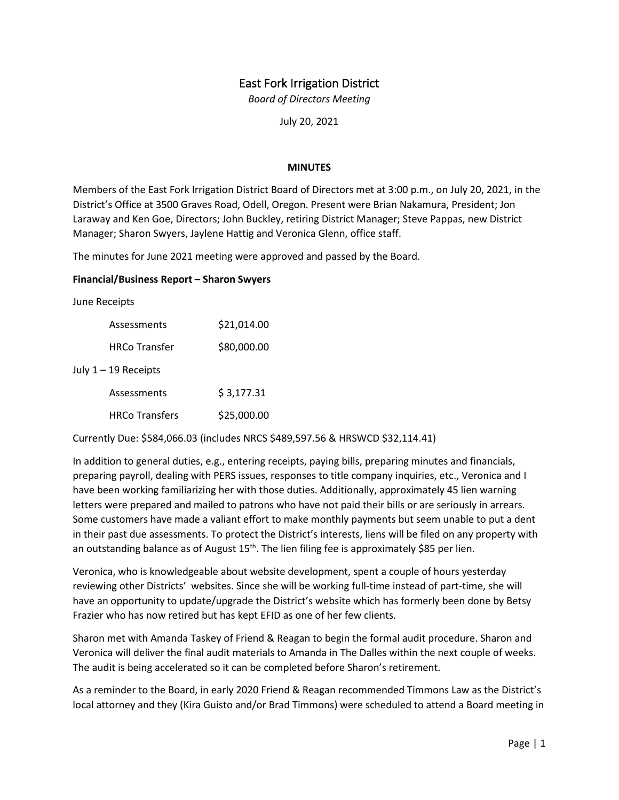# East Fork Irrigation District

*Board of Directors Meeting*

July 20, 2021

#### **MINUTES**

Members of the East Fork Irrigation District Board of Directors met at 3:00 p.m., on July 20, 2021, in the District's Office at 3500 Graves Road, Odell, Oregon. Present were Brian Nakamura, President; Jon Laraway and Ken Goe, Directors; John Buckley, retiring District Manager; Steve Pappas, new District Manager; Sharon Swyers, Jaylene Hattig and Veronica Glenn, office staff.

The minutes for June 2021 meeting were approved and passed by the Board.

#### **Financial/Business Report – Sharon Swyers**

June Receipts

| Assessments            | \$21,014.00 |
|------------------------|-------------|
| <b>HRCo Transfer</b>   | \$80,000.00 |
| July $1 - 19$ Receipts |             |
| Assessments            | \$3,177.31  |
| <b>HRCo Transfers</b>  | \$25,000.00 |

Currently Due: \$584,066.03 (includes NRCS \$489,597.56 & HRSWCD \$32,114.41)

In addition to general duties, e.g., entering receipts, paying bills, preparing minutes and financials, preparing payroll, dealing with PERS issues, responses to title company inquiries, etc., Veronica and I have been working familiarizing her with those duties. Additionally, approximately 45 lien warning letters were prepared and mailed to patrons who have not paid their bills or are seriously in arrears. Some customers have made a valiant effort to make monthly payments but seem unable to put a dent in their past due assessments. To protect the District's interests, liens will be filed on any property with an outstanding balance as of August  $15<sup>th</sup>$ . The lien filing fee is approximately \$85 per lien.

Veronica, who is knowledgeable about website development, spent a couple of hours yesterday reviewing other Districts' websites. Since she will be working full-time instead of part-time, she will have an opportunity to update/upgrade the District's website which has formerly been done by Betsy Frazier who has now retired but has kept EFID as one of her few clients.

Sharon met with Amanda Taskey of Friend & Reagan to begin the formal audit procedure. Sharon and Veronica will deliver the final audit materials to Amanda in The Dalles within the next couple of weeks. The audit is being accelerated so it can be completed before Sharon's retirement.

As a reminder to the Board, in early 2020 Friend & Reagan recommended Timmons Law as the District's local attorney and they (Kira Guisto and/or Brad Timmons) were scheduled to attend a Board meeting in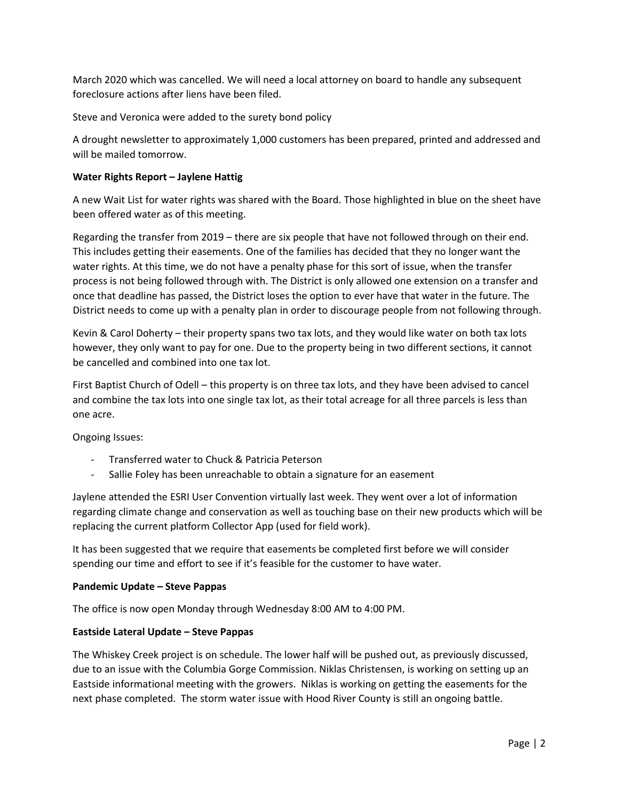March 2020 which was cancelled. We will need a local attorney on board to handle any subsequent foreclosure actions after liens have been filed.

Steve and Veronica were added to the surety bond policy

A drought newsletter to approximately 1,000 customers has been prepared, printed and addressed and will be mailed tomorrow.

# **Water Rights Report – Jaylene Hattig**

A new Wait List for water rights was shared with the Board. Those highlighted in blue on the sheet have been offered water as of this meeting.

Regarding the transfer from 2019 – there are six people that have not followed through on their end. This includes getting their easements. One of the families has decided that they no longer want the water rights. At this time, we do not have a penalty phase for this sort of issue, when the transfer process is not being followed through with. The District is only allowed one extension on a transfer and once that deadline has passed, the District loses the option to ever have that water in the future. The District needs to come up with a penalty plan in order to discourage people from not following through.

Kevin & Carol Doherty – their property spans two tax lots, and they would like water on both tax lots however, they only want to pay for one. Due to the property being in two different sections, it cannot be cancelled and combined into one tax lot.

First Baptist Church of Odell – this property is on three tax lots, and they have been advised to cancel and combine the tax lots into one single tax lot, as their total acreage for all three parcels is less than one acre.

Ongoing Issues:

- Transferred water to Chuck & Patricia Peterson
- Sallie Foley has been unreachable to obtain a signature for an easement

Jaylene attended the ESRI User Convention virtually last week. They went over a lot of information regarding climate change and conservation as well as touching base on their new products which will be replacing the current platform Collector App (used for field work).

It has been suggested that we require that easements be completed first before we will consider spending our time and effort to see if it's feasible for the customer to have water.

## **Pandemic Update – Steve Pappas**

The office is now open Monday through Wednesday 8:00 AM to 4:00 PM.

## **Eastside Lateral Update – Steve Pappas**

The Whiskey Creek project is on schedule. The lower half will be pushed out, as previously discussed, due to an issue with the Columbia Gorge Commission. Niklas Christensen, is working on setting up an Eastside informational meeting with the growers. Niklas is working on getting the easements for the next phase completed. The storm water issue with Hood River County is still an ongoing battle.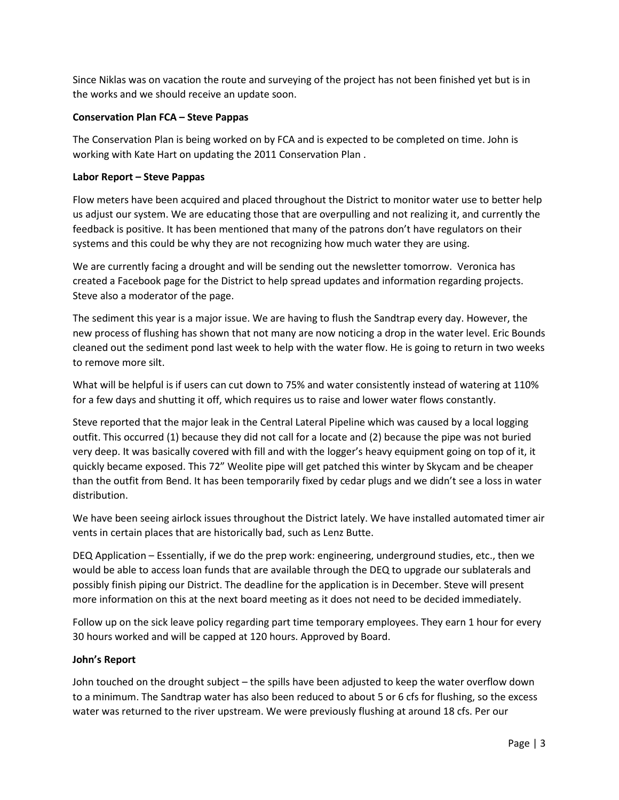Since Niklas was on vacation the route and surveying of the project has not been finished yet but is in the works and we should receive an update soon.

# **Conservation Plan FCA – Steve Pappas**

The Conservation Plan is being worked on by FCA and is expected to be completed on time. John is working with Kate Hart on updating the 2011 Conservation Plan .

# **Labor Report – Steve Pappas**

Flow meters have been acquired and placed throughout the District to monitor water use to better help us adjust our system. We are educating those that are overpulling and not realizing it, and currently the feedback is positive. It has been mentioned that many of the patrons don't have regulators on their systems and this could be why they are not recognizing how much water they are using.

We are currently facing a drought and will be sending out the newsletter tomorrow. Veronica has created a Facebook page for the District to help spread updates and information regarding projects. Steve also a moderator of the page.

The sediment this year is a major issue. We are having to flush the Sandtrap every day. However, the new process of flushing has shown that not many are now noticing a drop in the water level. Eric Bounds cleaned out the sediment pond last week to help with the water flow. He is going to return in two weeks to remove more silt.

What will be helpful is if users can cut down to 75% and water consistently instead of watering at 110% for a few days and shutting it off, which requires us to raise and lower water flows constantly.

Steve reported that the major leak in the Central Lateral Pipeline which was caused by a local logging outfit. This occurred (1) because they did not call for a locate and (2) because the pipe was not buried very deep. It was basically covered with fill and with the logger's heavy equipment going on top of it, it quickly became exposed. This 72" Weolite pipe will get patched this winter by Skycam and be cheaper than the outfit from Bend. It has been temporarily fixed by cedar plugs and we didn't see a loss in water distribution.

We have been seeing airlock issues throughout the District lately. We have installed automated timer air vents in certain places that are historically bad, such as Lenz Butte.

DEQ Application – Essentially, if we do the prep work: engineering, underground studies, etc., then we would be able to access loan funds that are available through the DEQ to upgrade our sublaterals and possibly finish piping our District. The deadline for the application is in December. Steve will present more information on this at the next board meeting as it does not need to be decided immediately.

Follow up on the sick leave policy regarding part time temporary employees. They earn 1 hour for every 30 hours worked and will be capped at 120 hours. Approved by Board.

## **John's Report**

John touched on the drought subject – the spills have been adjusted to keep the water overflow down to a minimum. The Sandtrap water has also been reduced to about 5 or 6 cfs for flushing, so the excess water was returned to the river upstream. We were previously flushing at around 18 cfs. Per our